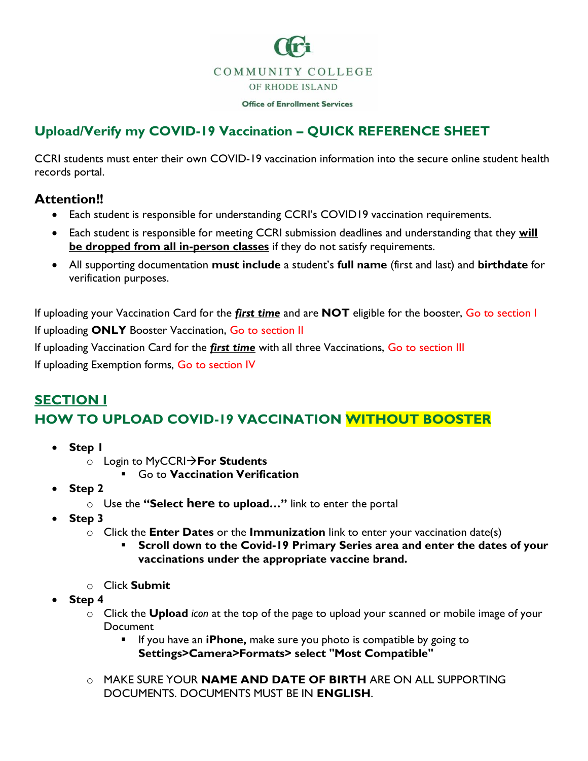

**Office of Enrollment Services** 

## **Upload/Verify my COVID-19 Vaccination – QUICK REFERENCE SHEET**

CCRI students must enter their own COVID-19 vaccination information into the secure online student health records portal.

## **Attention!!**

- Each student is responsible for understanding CCRI's COVID19 vaccination requirements.
- Each student is responsible for meeting CCRI submission deadlines and understanding that they **will be dropped from all in-person classes** if they do not satisfy requirements.
- All supporting documentation **must include** a student's **full name** (first and last) and **birthdate** for verification purposes.

If uploading your Vaccination Card for the *first time* and are **NOT** eligible for the booster, Go to section I If uploading **ONLY** Booster Vaccination, Go to section II

If uploading Vaccination Card for the *first time* with all three Vaccinations, Go to section III

If uploading Exemption forms, Go to section IV

## **SECTION I HOW TO UPLOAD COVID-19 VACCINATION WITHOUT BOOSTER**

- **Step 1**
	- o Login to MyCCRI→**For Students**
		- **Go to Vaccination Verification**
- **Step 2**
	- o Use the **"Select here to upload…"** link to enter the portal
- **Step 3**
	- o Click the **Enter Dates** or the **Immunization** link to enter your vaccination date(s)
		- Scroll down to the Covid-19 Primary Series area and enter the dates of your **vaccinations under the appropriate vaccine brand.**
	- o Click **Submit**
- **Step 4**
	- o Click the **Upload** *icon* at the top of the page to upload your scanned or mobile image of your Document
		- If you have an **iPhone,** make sure you photo is compatible by going to **Settings>Camera>Formats> select "Most Compatible"**
	- o MAKE SURE YOUR **NAME AND DATE OF BIRTH** ARE ON ALL SUPPORTING DOCUMENTS. DOCUMENTS MUST BE IN **ENGLISH**.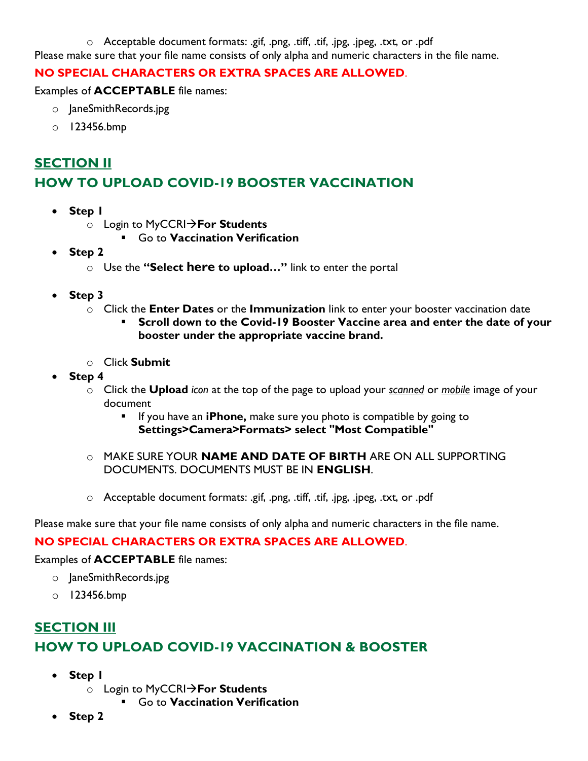o Acceptable document formats: .gif, .png, .tiff, .tif, .jpg, .jpeg, .txt, or .pdf Please make sure that your file name consists of only alpha and numeric characters in the file name.

#### **NO SPECIAL CHARACTERS OR EXTRA SPACES ARE ALLOWED**.

Examples of **ACCEPTABLE** file names:

- o JaneSmithRecords.jpg
- o 123456.bmp

# **SECTION II HOW TO UPLOAD COVID-19 BOOSTER VACCINATION**

- **Step 1**
	- o Login to MyCCRI→**For Students**
		- Go to **Vaccination Verification**
- **Step 2**
	- o Use the **"Select here to upload…"** link to enter the portal
- **Step 3**
	- o Click the **Enter Dates** or the **Immunization** link to enter your booster vaccination date
		- **Scroll down to the Covid-19 Booster Vaccine area and enter the date of your booster under the appropriate vaccine brand.**
	- o Click **Submit**
- **Step 4**
	- o Click the **Upload** *icon* at the top of the page to upload your *scanned* or *mobile* image of your document
		- If you have an **iPhone,** make sure you photo is compatible by going to **Settings>Camera>Formats> select "Most Compatible"**
	- o MAKE SURE YOUR **NAME AND DATE OF BIRTH** ARE ON ALL SUPPORTING DOCUMENTS. DOCUMENTS MUST BE IN **ENGLISH**.
	- o Acceptable document formats: .gif, .png, .tiff, .tif, .jpg, .jpeg, .txt, or .pdf

Please make sure that your file name consists of only alpha and numeric characters in the file name.

#### **NO SPECIAL CHARACTERS OR EXTRA SPACES ARE ALLOWED**.

#### Examples of **ACCEPTABLE** file names:

- o JaneSmithRecords.jpg
- o 123456.bmp

# **SECTION III HOW TO UPLOAD COVID-19 VACCINATION & BOOSTER**

- **Step 1**
	- o Login to MyCCRI→**For Students**
		- Go to **Vaccination Verification**
- **Step 2**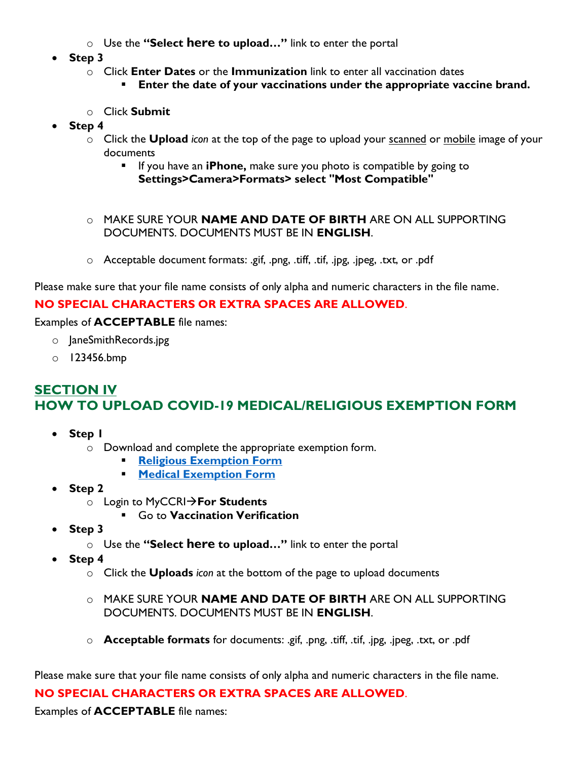- o Use the **"Select here to upload…"** link to enter the portal
- **Step 3**
	- o Click **Enter Dates** or the **Immunization** link to enter all vaccination dates
		- **Enter the date of your vaccinations under the appropriate vaccine brand.**
	- o Click **Submit**
- **Step 4**
	- o Click the **Upload** *icon* at the top of the page to upload your scanned or mobile image of your documents
		- If you have an **iPhone,** make sure you photo is compatible by going to **Settings>Camera>Formats> select "Most Compatible"**
	- o MAKE SURE YOUR **NAME AND DATE OF BIRTH** ARE ON ALL SUPPORTING DOCUMENTS. DOCUMENTS MUST BE IN **ENGLISH**.
	- o Acceptable document formats: .gif, .png, .tiff, .tif, .jpg, .jpeg, .txt, or .pdf

Please make sure that your file name consists of only alpha and numeric characters in the file name.

#### **NO SPECIAL CHARACTERS OR EXTRA SPACES ARE ALLOWED**.

Examples of **ACCEPTABLE** file names:

- o JaneSmithRecords.jpg
- o 123456.bmp

## **SECTION IV HOW TO UPLOAD COVID-19 MEDICAL/RELIGIOUS EXEMPTION FORM**

- **Step 1**
	- o Download and complete the appropriate exemption form.
		- **[Religious Exemption Form](https://ccri.edu/marketing/pdfs/CCRI_Religious%20Exemption%20Form.pdf)**
		- **[Medical Exemption Form](https://ccri.edu/marketing/pdfs/CCRI_Medical%20Exemption%20Form.pdf)**
- **Step 2**
	- o Login to MyCCRI→**For Students**
		- Go to **Vaccination Verification**
- **Step 3**
	- o Use the **"Select here to upload…"** link to enter the portal
- **Step 4**
	- o Click the **Uploads** *icon* at the bottom of the page to upload documents
	- o MAKE SURE YOUR **NAME AND DATE OF BIRTH** ARE ON ALL SUPPORTING DOCUMENTS. DOCUMENTS MUST BE IN **ENGLISH**.
	- o **Acceptable formats** for documents: .gif, .png, .tiff, .tif, .jpg, .jpeg, .txt, or .pdf

Please make sure that your file name consists of only alpha and numeric characters in the file name.

#### **NO SPECIAL CHARACTERS OR EXTRA SPACES ARE ALLOWED**.

Examples of **ACCEPTABLE** file names: